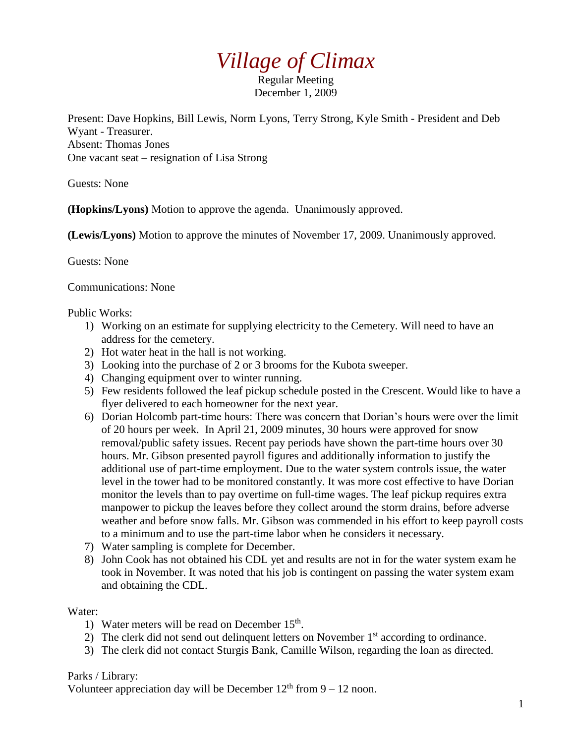## *Village of Climax*

Regular Meeting December 1, 2009

Present: Dave Hopkins, Bill Lewis, Norm Lyons, Terry Strong, Kyle Smith - President and Deb Wyant - Treasurer. Absent: Thomas Jones One vacant seat – resignation of Lisa Strong

Guests: None

**(Hopkins/Lyons)** Motion to approve the agenda. Unanimously approved.

**(Lewis/Lyons)** Motion to approve the minutes of November 17, 2009. Unanimously approved.

Guests: None

Communications: None

Public Works:

- 1) Working on an estimate for supplying electricity to the Cemetery. Will need to have an address for the cemetery.
- 2) Hot water heat in the hall is not working.
- 3) Looking into the purchase of 2 or 3 brooms for the Kubota sweeper.
- 4) Changing equipment over to winter running.
- 5) Few residents followed the leaf pickup schedule posted in the Crescent. Would like to have a flyer delivered to each homeowner for the next year.
- 6) Dorian Holcomb part-time hours: There was concern that Dorian's hours were over the limit of 20 hours per week. In April 21, 2009 minutes, 30 hours were approved for snow removal/public safety issues. Recent pay periods have shown the part-time hours over 30 hours. Mr. Gibson presented payroll figures and additionally information to justify the additional use of part-time employment. Due to the water system controls issue, the water level in the tower had to be monitored constantly. It was more cost effective to have Dorian monitor the levels than to pay overtime on full-time wages. The leaf pickup requires extra manpower to pickup the leaves before they collect around the storm drains, before adverse weather and before snow falls. Mr. Gibson was commended in his effort to keep payroll costs to a minimum and to use the part-time labor when he considers it necessary.
- 7) Water sampling is complete for December.
- 8) John Cook has not obtained his CDL yet and results are not in for the water system exam he took in November. It was noted that his job is contingent on passing the water system exam and obtaining the CDL.

Water:

- 1) Water meters will be read on December 15<sup>th</sup>.
- 2) The clerk did not send out delinquent letters on November  $1<sup>st</sup>$  according to ordinance.
- 3) The clerk did not contact Sturgis Bank, Camille Wilson, regarding the loan as directed.

Parks / Library:

Volunteer appreciation day will be December  $12<sup>th</sup>$  from  $9 - 12$  noon.